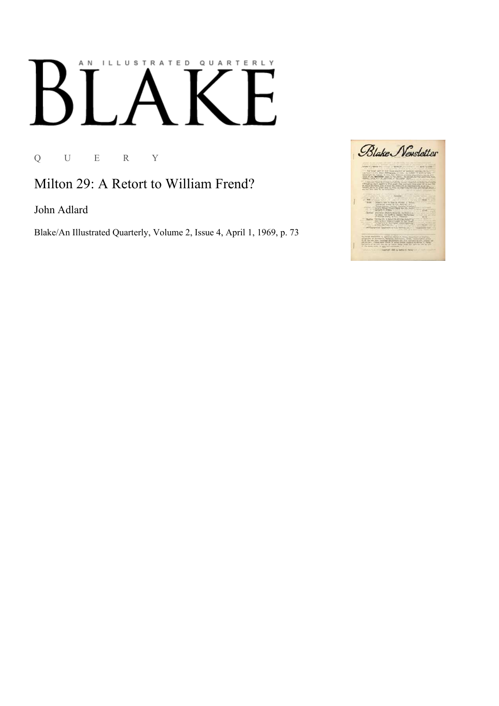## AN ILLUSTRATED QUARTERLY К

Q U E R Y

Milton 29: A Retort to William Frend?

John Adlard

Blake/An Illustrated Quarterly, Volume 2, Issue 4, April 1, 1969, p. 73